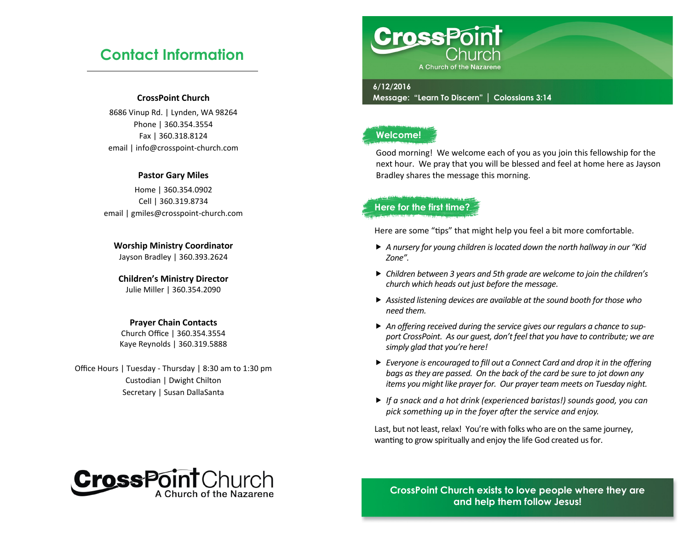## **Contact Information**

### **CrossPoint Church**

8686 Vinup Rd. | Lynden, WA 98264 Phone | 360.354.3554 Fax | 360.318.8124 email | info@crosspoint-church.com

### **Pastor Gary Miles**

Home | 360.354.0902 Cell | 360.319.8734 email | gmiles@crosspoint-church.com

**Worship Ministry Coordinator** Jayson Bradley | 360.393.2624

### **Children's Ministry Director** Julie Miller | 360.354.2090

### **Prayer Chain Contacts**

Church Office | 360.354.3554 Kaye Reynolds | 360.319.5888

Office Hours | Tuesday - Thursday | 8:30 am to 1:30 pm Custodian | Dwight Chilton Secretary | Susan DallaSanta



### **6/12/2016**

**Message: "Learn To Discern" | Colossians 3:14**

### **Welcome!**

Good morning! We welcome each of you as you join this fellowship for the next hour. We pray that you will be blessed and feel at home here as Jayson Bradley shares the message this morning.

### **Here for the first time?**

Here are some "tips" that might help you feel a bit more comfortable.

- *A nursery for young children is located down the north hallway in our "Kid Zone".*
- *Children between 3 years and 5th grade are welcome to join the children's church which heads out just before the message.*
- *Assisted listening devices are available at the sound booth for those who need them.*
- *An offering received during the service gives our regulars a chance to support CrossPoint. As our guest, don't feel that you have to contribute; we are simply glad that you're here!*
- *Everyone is encouraged to fill out a Connect Card and drop it in the offering bags as they are passed. On the back of the card be sure to jot down any items you might like prayer for. Our prayer team meets on Tuesday night.*
- *If a snack and a hot drink (experienced baristas!) sounds good, you can pick something up in the foyer after the service and enjoy.*

Last, but not least, relax! You're with folks who are on the same journey, wanting to grow spiritually and enjoy the life God created us for.



**CrossPoint Church exists to love people where they are and help them follow Jesus!**